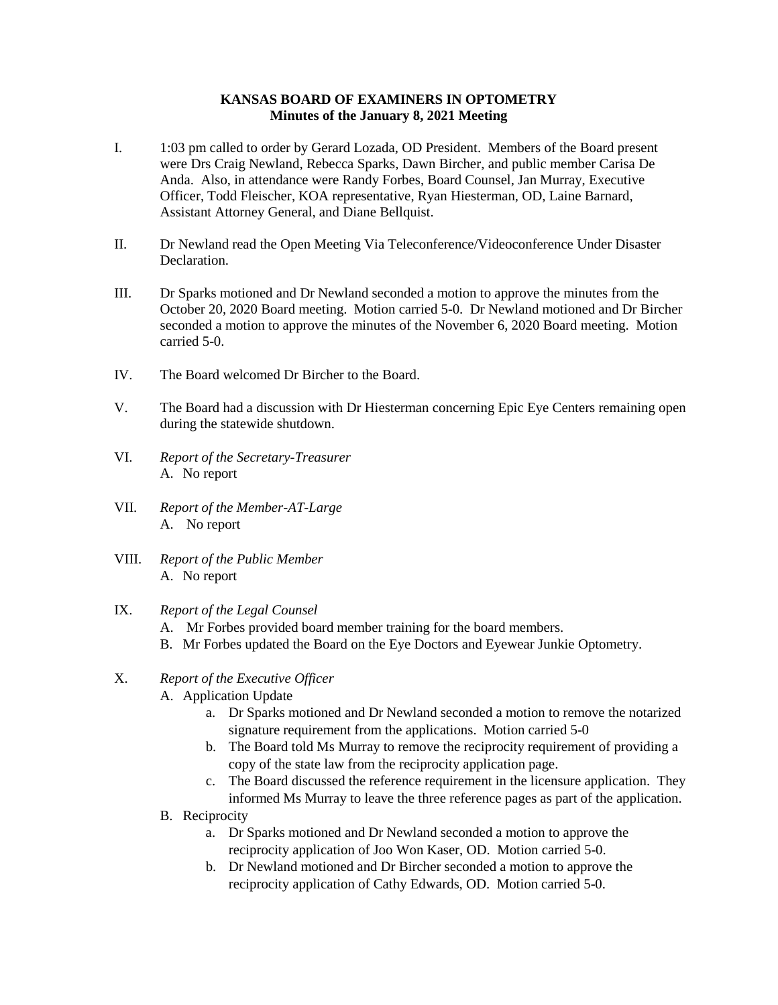## **KANSAS BOARD OF EXAMINERS IN OPTOMETRY Minutes of the January 8, 2021 Meeting**

- I. 1:03 pm called to order by Gerard Lozada, OD President. Members of the Board present were Drs Craig Newland, Rebecca Sparks, Dawn Bircher, and public member Carisa De Anda. Also, in attendance were Randy Forbes, Board Counsel, Jan Murray, Executive Officer, Todd Fleischer, KOA representative, Ryan Hiesterman, OD, Laine Barnard, Assistant Attorney General, and Diane Bellquist.
- II. Dr Newland read the Open Meeting Via Teleconference/Videoconference Under Disaster Declaration.
- III. Dr Sparks motioned and Dr Newland seconded a motion to approve the minutes from the October 20, 2020 Board meeting. Motion carried 5-0. Dr Newland motioned and Dr Bircher seconded a motion to approve the minutes of the November 6, 2020 Board meeting. Motion carried 5-0.
- IV. The Board welcomed Dr Bircher to the Board.
- V. The Board had a discussion with Dr Hiesterman concerning Epic Eye Centers remaining open during the statewide shutdown.
- VI. *Report of the Secretary-Treasurer* A. No report
- VII. *Report of the Member-AT-Large* A. No report
- VIII. *Report of the Public Member* A. No report
- IX. *Report of the Legal Counsel*
	- A. Mr Forbes provided board member training for the board members.
	- B. Mr Forbes updated the Board on the Eye Doctors and Eyewear Junkie Optometry.
- X. *Report of the Executive Officer*
	- A. Application Update
		- a. Dr Sparks motioned and Dr Newland seconded a motion to remove the notarized signature requirement from the applications. Motion carried 5-0
		- b. The Board told Ms Murray to remove the reciprocity requirement of providing a copy of the state law from the reciprocity application page.
		- c. The Board discussed the reference requirement in the licensure application. They informed Ms Murray to leave the three reference pages as part of the application.
	- B. Reciprocity
		- a. Dr Sparks motioned and Dr Newland seconded a motion to approve the reciprocity application of Joo Won Kaser, OD. Motion carried 5-0.
		- b. Dr Newland motioned and Dr Bircher seconded a motion to approve the reciprocity application of Cathy Edwards, OD. Motion carried 5-0.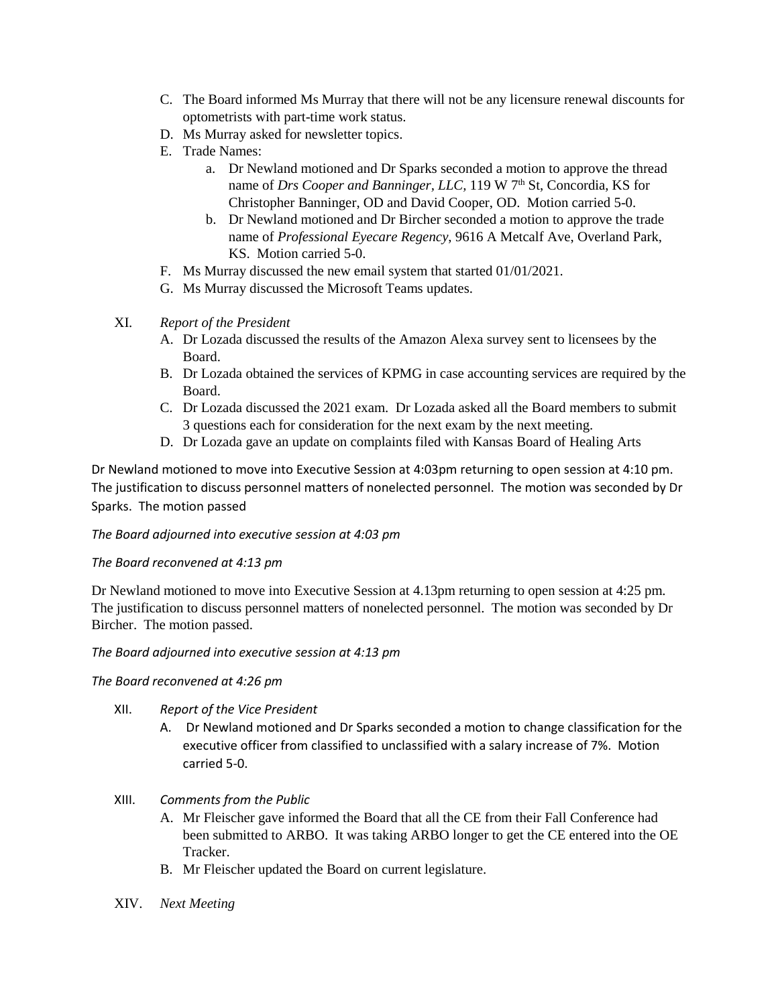- C. The Board informed Ms Murray that there will not be any licensure renewal discounts for optometrists with part-time work status.
- D. Ms Murray asked for newsletter topics.
- E. Trade Names:
	- a. Dr Newland motioned and Dr Sparks seconded a motion to approve the thread name of *Drs Cooper and Banninger, LLC,* 119 W 7<sup>th</sup> St, Concordia, KS for Christopher Banninger, OD and David Cooper, OD. Motion carried 5-0.
	- b. Dr Newland motioned and Dr Bircher seconded a motion to approve the trade name of *Professional Eyecare Regency*, 9616 A Metcalf Ave, Overland Park, KS. Motion carried 5-0.
- F. Ms Murray discussed the new email system that started 01/01/2021.
- G. Ms Murray discussed the Microsoft Teams updates.
- XI. *Report of the President*
	- A. Dr Lozada discussed the results of the Amazon Alexa survey sent to licensees by the Board.
	- B. Dr Lozada obtained the services of KPMG in case accounting services are required by the Board.
	- C. Dr Lozada discussed the 2021 exam. Dr Lozada asked all the Board members to submit 3 questions each for consideration for the next exam by the next meeting.
	- D. Dr Lozada gave an update on complaints filed with Kansas Board of Healing Arts

Dr Newland motioned to move into Executive Session at 4:03pm returning to open session at 4:10 pm. The justification to discuss personnel matters of nonelected personnel. The motion was seconded by Dr Sparks. The motion passed

*The Board adjourned into executive session at 4:03 pm*

## *The Board reconvened at 4:13 pm*

Dr Newland motioned to move into Executive Session at 4.13pm returning to open session at 4:25 pm. The justification to discuss personnel matters of nonelected personnel. The motion was seconded by Dr Bircher. The motion passed.

*The Board adjourned into executive session at 4:13 pm*

## *The Board reconvened at 4:26 pm*

- XII. *Report of the Vice President*
	- A. Dr Newland motioned and Dr Sparks seconded a motion to change classification for the executive officer from classified to unclassified with a salary increase of 7%. Motion carried 5-0.
- XIII. *Comments from the Public*
	- A. Mr Fleischer gave informed the Board that all the CE from their Fall Conference had been submitted to ARBO. It was taking ARBO longer to get the CE entered into the OE Tracker.
	- B. Mr Fleischer updated the Board on current legislature.
- XIV. *Next Meeting*